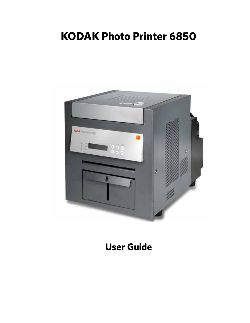# **KODAK Photo Printer 6850**



# **User Guide**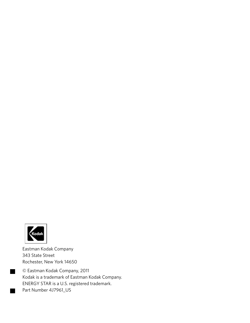

٠

Eastman Kodak Company 343 State Street Rochester, New York 14650

© Eastman Kodak Company, 2011 Kodak is a trademark of Eastman Kodak Company. ENERGY STAR is a U.S. registered trademark. Part Number 4J7961\_US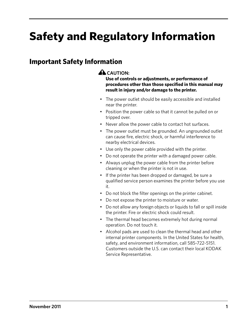# **Safety and Regulatory Information**

## **Important Safety Information**

### **A** CAUTION:

**Use of controls or adjustments, or performance of procedures other than those specified in this manual may result in injury and/or damage to the printer.**

- The power outlet should be easily accessible and installed near the printer.
- Position the power cable so that it cannot be pulled on or tripped over.
- Never allow the power cable to contact hot surfaces.
- The power outlet must be grounded. An ungrounded outlet can cause fire, electric shock, or harmful interference to nearby electrical devices.
- Use only the power cable provided with the printer.
- Do not operate the printer with a damaged power cable.
- Always unplug the power cable from the printer before cleaning or when the printer is not in use.
- If the printer has been dropped or damaged, be sure a qualified service person examines the printer before you use it.
- Do not block the filter openings on the printer cabinet.
- Do not expose the printer to moisture or water.
- Do not allow any foreign objects or liquids to fall or spill inside the printer. Fire or electric shock could result.
- The thermal head becomes extremely hot during normal operation. Do not touch it.
- Alcohol pads are used to clean the thermal head and other internal printer components. In the United States for health, safety, and environment information, call 585-722-5151. Customers outside the U.S. can contact their local KODAK Service Representative.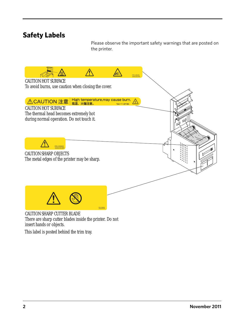## **Safety Labels**

Please observe the important safety warnings that are posted on the printer.



There are sharp cutter blades inside the printer. Do not insert hands or objects.

This label is posted behind the trim tray.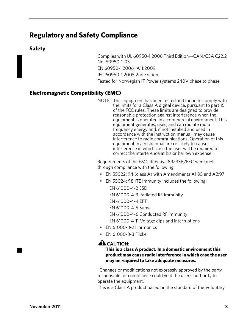## **Regulatory and Safety Compliance**

#### **Safety**

Complies with UL 60950-1:2006 Third Edition—CAN/CSA C22.2 No. 60950-1-03 EN 60950-1:2006+A11:2009 IEC 60950-1:2005 2nd Edition Tested for Norwegian IT Power systems 240V phase to phase

### **Electromagnetic Compatibility (EMC)**

NOTE: This equipment has been tested and found to comply with the limits for a Class A digital device, pursuant to part 15 of the FCC rules. These limits are designed to provide reasonable protection against interference when the equipment is operated in a commercial environment. This equipment generates, uses, and can radiate radio frequency energy and, if not installed and used in accordance with the instruction manual, may cause interference to radio communications. Operation of this equipment in a residential area is likely to cause interference in which case the user will be required to correct the interference at his or her own expense.

Requirements of the EMC directive 89/336/EEC were met through compliance with the following:

- EN 55022: 94 (class A) with Amendments A1:95 and A2:97
- EN 55024: 98 ITE Immunity includes the following:
	- EN 61000-4-2 ESD
	- EN 61000-4-3 Radiated RF immunity
	- EN 61000-4-4 EFT
	- EN 61000-4-5 Surge
	- EN 61000-4-6 Conducted RF immunity
	- EN 61000-4-11 Voltage dips and interruptions
- EN 61000-3-2 Harmonics
- EN 61000-3-3 Flicker

#### **A** CAUTION:

#### **This is a class A product. In a domestic environment this product may cause radio interference in which case the user may be required to take adequate measures.**

"Changes or modifications not expressly approved by the party responsible for compliance could void the user's authority to operate the equipment."

This is a Class A product based on the standard of the Voluntary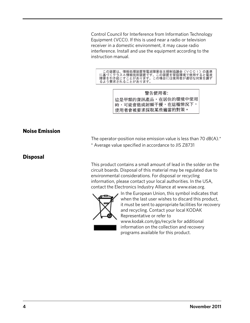Control Council for Interference from Information Technology Equipment (VCCI). If this is used near a radio or television receiver in a domestic environment, it may cause radio interference. Install and use the equipment according to the instruction manual.

この装置は、情報処理装置等電波障害自主規制協議会(VCCI)の基準に基づくクラスA情報技術装置です。この装置を家庭環境で使用すると電波<br>障害を引き起こすことがあります。この場合には使用者が適切な対策を講ず<br>るよう要求されることがあります。

警告使用者: 這是甲類的資訊產品,在居住的環境中使用 時,可能會造成射頻干擾,在這種情況下, 使用者會被要求採取某些適當的對策。

#### **Noise Emission**

The operator-position noise emission value is less than 70  $dB(A)$ <sup>\*</sup>

\* Average value specified in accordance to JIS Z8731

#### **Disposal**

[This product contains a small amount of lead in the solder on the](http://www.eiae.org)  circuit boards. Disposal of this material may be regulated due to environmental considerations. For disposal or recycling information, please contact your local authorities. In the USA, contact the Electronics Industry Alliance at www.eiae.org.



In the European Union, this symbol indicates that when the last user wishes to discard this product, [it must be sent to appropriate facilities for recovery](http://www.kodak.com/go/recycle)  and recycling. Contact your local KODAK Representative or refer to www.kodak.com/go/recycle for additional information on the collection and recovery programs available for this product.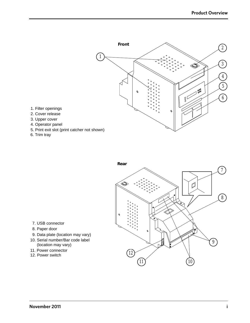

6. Trim tray

1. Filter openings 2. Cover release 3. Upper cover 4. Operator panel



- 7. USB connector
- 8. Paper door
- 9. Data plate (location may vary)
- 10. Serial number/Bar code label (location may vary)
- 11. Power connector
- 12. Power switch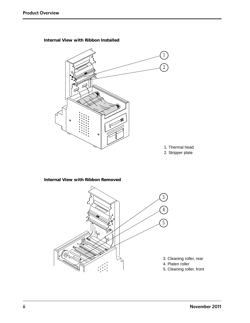

**Internal View with Ribbon Installed**

# 4 5  $\overline{\mathbb{Z}}$ 3. Cleaning roller, rear 4. Platen roller 5. Cleaning roller, front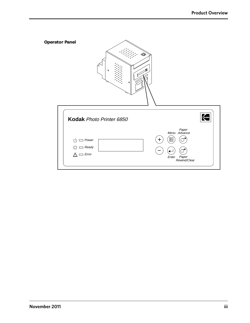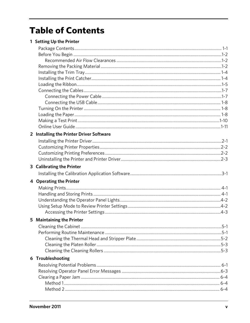# **Table of Contents**

|  | 1 Setting Up the Printer |  |  |  |
|--|--------------------------|--|--|--|
|--|--------------------------|--|--|--|

| 2 Installing the Printer Driver Software |  |
|------------------------------------------|--|
|                                          |  |
|                                          |  |
|                                          |  |
|                                          |  |
| 3 Calibrating the Printer                |  |
|                                          |  |
| 4 Operating the Printer                  |  |
|                                          |  |
|                                          |  |
|                                          |  |
|                                          |  |
|                                          |  |
| 5 Maintaining the Printer                |  |
|                                          |  |
|                                          |  |
|                                          |  |
|                                          |  |
|                                          |  |
| 6 Troubleshooting                        |  |
|                                          |  |
|                                          |  |
|                                          |  |
|                                          |  |
|                                          |  |
|                                          |  |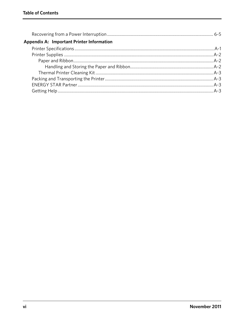| Appendix A: Important Printer Information |  |
|-------------------------------------------|--|
|                                           |  |
|                                           |  |
|                                           |  |
|                                           |  |
|                                           |  |
|                                           |  |
|                                           |  |
|                                           |  |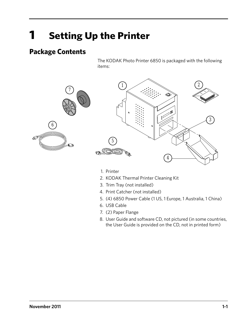# <span id="page-12-0"></span>**1 Setting Up the Printer**

## <span id="page-12-1"></span>**Package Contents**

The KODAK Photo Printer 6850 is packaged with the following items:





- 1. Printer
- 2. KODAK Thermal Printer Cleaning Kit
- 3. Trim Tray (not installed)
- 4. Print Catcher (not installed)
- 5. (4) 6850 Power Cable (1 US, 1 Europe, 1 Australia, 1 China)
- 6. USB Cable
- 7. (2) Paper Flange
- 8. User Guide and software CD, not pictured (in some countries, the User Guide is provided on the CD, not in printed form)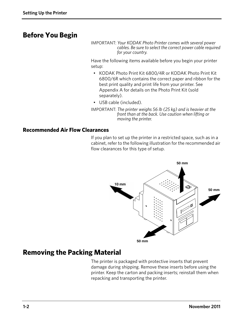## <span id="page-13-0"></span>**Before You Begin**

IMPORTANT: *Your KODAK Photo Printer comes with several power cables. Be sure to select the correct power cable required for your country.*

Have the following items available before you begin your printer setup:

- KODAK Photo Print Kit 6800/4R or KODAK Photo Print Kit 6800/6R which contains the correct paper and ribbon for the best print quality and print life from your printer. See Appendix A for details on the Photo Print Kit (sold separately).
- USB cable (included).
- IMPORTANT: *The printer weighs 56 lb (25 kg) and is heavier at the front than at the back. Use caution when lifting or moving the printer.*

#### <span id="page-13-1"></span>**Recommended Air Flow Clearances**

If you plan to set up the printer in a restricted space, such as in a cabinet, refer to the following illustration for the recommended air flow clearances for this type of setup.



## <span id="page-13-2"></span>**Removing the Packing Material**

The printer is packaged with protective inserts that prevent damage during shipping. Remove these inserts before using the printer. Keep the carton and packing inserts; reinstall them when repacking and transporting the printer.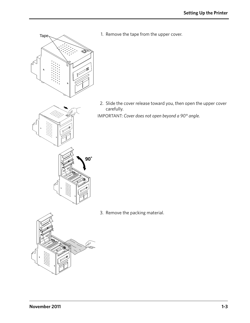1. Remove the tape from the upper cover.

2. Slide the cover release toward you, then open the upper cover carefully.

IMPORTANT: *Cover does not open beyond a 90° angle.*

3. Remove the packing material.

Tape



**90˚**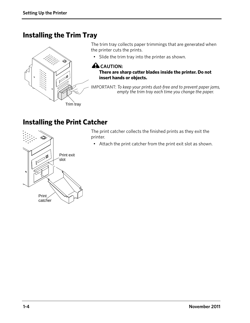## <span id="page-15-0"></span>**Installing the Trim Tray**



The trim tray collects paper trimmings that are generated when the printer cuts the prints.

• Slide the trim tray into the printer as shown.

#### **ALCAUTION:**

**There are sharp cutter blades inside the printer. Do not insert hands or objects.**

IMPORTANT: *To keep your prints dust-free and to prevent paper jams, empty the trim tray each time you change the paper.*

# <span id="page-15-1"></span>**Installing the Print Catcher**

The print catcher collects the finished prints as they exit the printer.

• Attach the print catcher from the print exit slot as shown.

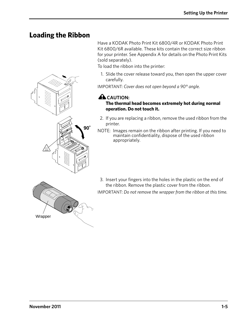## <span id="page-16-0"></span>**Loading the Ribbon**



Have a KODAK Photo Print Kit 6800/4R or KODAK Photo Print Kit 6800/6R available. These kits contain the correct size ribbon for your printer. See Appendix A for details on the Photo Print Kits (sold separately).

To load the ribbon into the printer:

1. Slide the cover release toward you, then open the upper cover carefully.

IMPORTANT: *Cover does not open beyond a 90° angle.*

### **A**CAUTION:

#### **The thermal head becomes extremely hot during normal operation. Do not touch it.**

- 2. If you are replacing a ribbon, remove the used ribbon from the printer.
- NOTE: Images remain on the ribbon after printing. If you need to maintain confidentiality, dispose of the used ribbon appropriately.



3. Insert your fingers into the holes in the plastic on the end of the ribbon. Remove the plastic cover from the ribbon. IMPORTANT: *Do not remove the wrapper from the ribbon at this time.*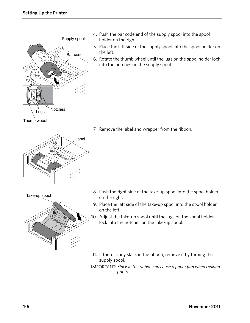

- 4. Push the bar code end of the supply spool into the spool holder on the right.
- 5. Place the left side of the supply spool into the spool holder on the left.
- 6. Rotate the thumb wheel until the lugs on the spool holder lock into the notches on the supply spool.

Thumb wheel



7. Remove the label and wrapper from the ribbon.





- 8. Push the right side of the take-up spool into the spool holder on the right.
- 9. Place the left side of the take-up spool into the spool holder on the left.
- 10. Adjust the take-up spool until the lugs on the spool holder lock into the notches on the take-up spool.
- 11. If there is any slack in the ribbon, remove it by turning the supply spool.
- IMPORTANT: *Slack in the ribbon can cause a paper jam when making prints.*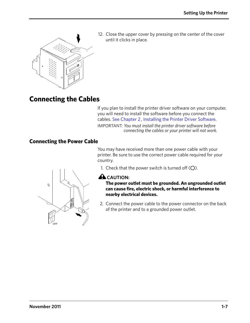

12. Close the upper cover by pressing on the center of the cover until it clicks in place.

# <span id="page-18-0"></span>**Connecting the Cables**

If you plan to install the printer driver software on your computer, you will need to install the software before you connect the cables. [See Chapter 2 , Installing the Printer Driver Software](#page-24-0).

IMPORTANT: *You must install the printer driver software before connecting the cables or your printer will not work.*

#### <span id="page-18-1"></span>**Connecting the Power Cable**

You may have received more than one power cable with your printer. Be sure to use the correct power cable required for your country.



#### **A** CAUTION:

**The power outlet must be grounded. An ungrounded outlet can cause fire, electric shock, or harmful interference to nearby electrical devices.**

2. Connect the power cable to the power connector on the back of the printer and to a grounded power outlet.

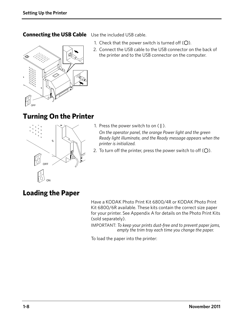### <span id="page-19-0"></span>**Connecting the USB Cable** Use the included USB cable.



- 1. Check that the power switch is turned off  $(O)$ .
- 2. Connect the USB cable to the USB connector on the back of the printer and to the USB connector on the computer.

# <span id="page-19-1"></span>**Turning On the Printer**



- 1. Press the power switch to on ( **|** ). *On the operator panel, the orange Power light and the green Ready light illuminate, and the Ready message appears when the printer is initialized.*
- 2. To turn off the printer, press the power switch to off  $(O)$ .

# <span id="page-19-2"></span>**Loading the Paper**

Have a KODAK Photo Print Kit 6800/4R or KODAK Photo Print Kit 6800/6R available. These kits contain the correct size paper for your printer. See Appendix A for details on the Photo Print Kits (sold separately).

IMPORTANT: *To keep your prints dust-free and to prevent paper jams, empty the trim tray each time you change the paper.*

To load the paper into the printer: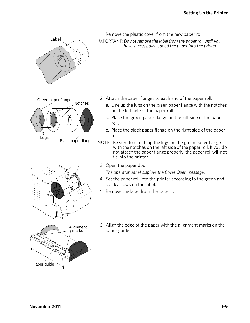

1. Remove the plastic cover from the new paper roll. IMPORTANT: *Do not remove the label from the paper roll until you have successfully loaded the paper into the printer.*

- Lugs Green paper flange<br>Notches Black paper flange
- 2. Attach the paper flanges to each end of the paper roll.
	- a. Line up the lugs on the green paper flange with the notches on the left side of the paper roll.
	- b. Place the green paper flange on the left side of the paper roll.
	- c. Place the black paper flange on the right side of the paper roll.
- NOTE: Be sure to match up the lugs on the green paper flange with the notches on the left side of the paper roll. If you do not attach the paper flange properly, the paper roll will not fit into the printer.
- 3. Open the paper door.

*The operator panel displays the Cover Open message.*

- 4. Set the paper roll into the printer according to the green and black arrows on the label.
- 5. Remove the label from the paper roll.



6. Align the edge of the paper with the alignment marks on the paper guide.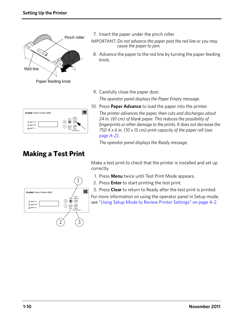

7. Insert the paper under the pinch roller.

IMPORTANT: *Do not advance the paper past the red line or you may cause the paper to jam.*

- 8. Advance the paper to the red line by turning the paper feeding knob.
- 9. Carefully close the paper door. *The operator panel displays the Paper Empty message.*

| Kodak Photo Printer 6850                              |                                                                           |
|-------------------------------------------------------|---------------------------------------------------------------------------|
| $\equiv$ Power<br>小<br>χ۲.<br>$\equiv$ Ready<br>Error | Paper<br>Menu Advance<br>$\ddot{}$<br>E<br>Enter<br>Paper<br>Rewind/Clear |

10. Press **Paper Advance** to load the paper into the printer.

*The printer advances the paper, then cuts and discharges about 24 in. (61 cm) of blank paper. This reduces the possibility of fingerprints or other damage to the prints. It does not decrease the 750 4 x 6 in. (10 x 15 cm) print capacity of the paper roll (see [page A-2](#page-45-1)).*

*The operator panel displays the Ready message.*

# <span id="page-21-0"></span>**Making a Test Print**

Make a test print to check that the printer is installed and set up correctly.

- 1. Press **Menu** twice until Test Print Mode appears.
- 2. Press **Enter** to start printing the test print.
- 3. Press **Clear** to return to Ready after the test print is printed.

For more information on using the operator panel in Setup mode, see ["Using Setup Mode to Review Printer Settings" on page 4-2](#page-31-1).

|                                                             | л.                                                                     |
|-------------------------------------------------------------|------------------------------------------------------------------------|
| Kodak Photo Printer 6850                                    | mп                                                                     |
| $(1)$ $\Box$ Power<br>$Q =$ Ready<br>$\Lambda$ $\Box$ Error | Mehu Paper<br>Mehu Advance<br>E<br>¢<br>Enter<br>Paper<br>Rewind/Clear |
|                                                             | 2                                                                      |

 $\bigcap$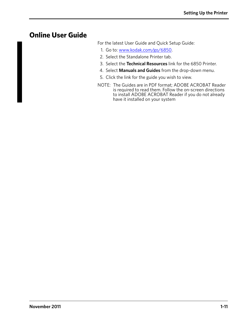## <span id="page-22-0"></span>**Online User Guide**

For the latest User Guide and Quick Setup Guide:

- 1. Go to: www.kodak.com/go/6850.
- 2. Select the Standalone Printer tab.
- 3. Select the **Technical Resources** link for the 6850 Printer.
- 4. Select **Manuals and Guides** from the drop-down menu.
- 5. Click the link for the guide you wish to view.
- NOTE: The Guides are in PDF format; ADOBE ACROBAT Reader is required to read them. Follow the on-screen directions to install ADOBE ACROBAT Reader if you do not already have it installed on your system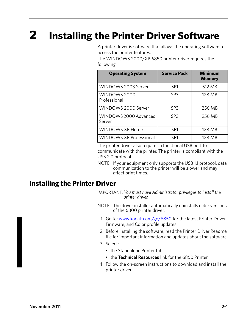# <span id="page-24-0"></span>**2 Installing the Printer Driver Software**

A printer driver is software that allows the operating software to access the printer features.

The WINDOWS 2000/XP 6850 printer driver requires the following:

| <b>Operating System</b>         | <b>Service Pack</b> | Minimum<br><b>Memory</b> |
|---------------------------------|---------------------|--------------------------|
| WINDOWS 2003 Server             | SP <sub>1</sub>     | 512 MB                   |
| WINDOWS 2000<br>Professional    | SP <sub>3</sub>     | 128 MB                   |
| WINDOWS 2000 Server             | SP <sub>3</sub>     | 256 MB                   |
| WINDOWS 2000 Advanced<br>Server | SP <sub>3</sub>     | 256 MB                   |
| WINDOWS XP Home                 | SP1                 | 128 MB                   |
| <b>WINDOWS XP Professional</b>  | SP <sub>1</sub>     | 128 MB                   |

The printer driver also requires a functional USB port to communicate with the printer. The printer is compliant with the USB 2.0 protocol.

NOTE: If your equipment only supports the USB 1.1 protocol, data communication to the printer will be slower and may affect print times.

## <span id="page-24-1"></span>**Installing the Printer Driver**

IMPORTANT: *You must have Administrator privileges to install the printer driver.*

- NOTE: The driver installer automatically uninstalls older versions of the 6800 printer driver.
	- 1. Go to: www.kodak.com/go/6850 for the latest Printer Driver, Firmware, and Color profile updates.
- 2. Before installing the software, read the Printer Driver Readme file for important information and updates about the software.
- 3. Select:
	- the Standalone Printer tab
	- the **Technical Resources** link for the 6850 Printer
- 4. Follow the on-screen instructions to download and install the printer driver.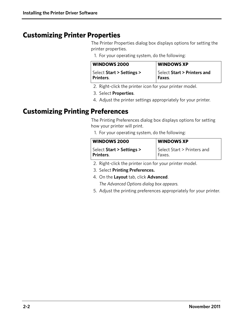## <span id="page-25-0"></span>**Customizing Printer Properties**

The Printer Properties dialog box displays options for setting the printer properties.

1. For your operating system, do the following:

| <b>WINDOWS 2000</b>       | <b>WINDOWS XP</b>           |
|---------------------------|-----------------------------|
| Select Start > Settings > | Select Start > Printers and |
| Printers.                 | Faxes.                      |

- 2. Right-click the printer icon for your printer model.
- 3. Select **Properties**.
- 4. Adjust the printer settings appropriately for your printer.

## <span id="page-25-1"></span>**Customizing Printing Preferences**

The Printing Preferences dialog box displays options for setting how your printer will print.

1. For your operating system, do the following:

| <b>WINDOWS 2000</b>       | <b>WINDOWS XP</b>           |
|---------------------------|-----------------------------|
| Select Start > Settings > | Select Start > Printers and |
| Printers.                 | Faxes.                      |

- 2. Right-click the printer icon for your printer model.
- 3. Select **Printing Preferences.**
- 4. On the **Layout** tab, click **Advanced**.

*The Advanced Options dialog box appears.*

5. Adjust the printing preferences appropriately for your printer.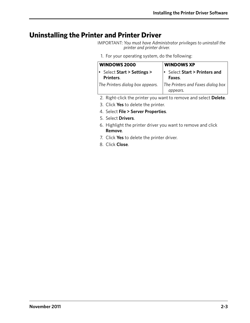## <span id="page-26-0"></span>**Uninstalling the Printer and Printer Driver**

IMPORTANT: *You must have Administrator privileges to uninstall the printer and printer driver.*

1. For your operating system, do the following:

| <b>WINDOWS 2000</b>                    | <b>WINDOWS XP</b>                             |
|----------------------------------------|-----------------------------------------------|
| Select Start > Settings ><br>Printers. | Select Start > Printers and<br>Faxes.         |
| The Printers dialog box appears.       | The Printers and Faxes dialog box<br>appears. |

- 2. Right-click the printer you want to remove and select **Delete**.
- 3. Click **Yes** to delete the printer.
- 4. Select **File > Server Properties**.
- 5. Select **Drivers**.
- 6. Highlight the printer driver you want to remove and click **Remove**.
- 7. Click **Yes** to delete the printer driver.
- 8. Click **Close**.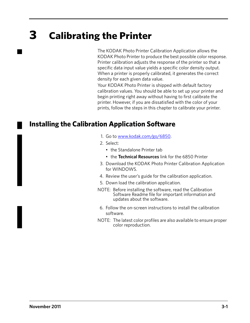# <span id="page-28-0"></span>**3 Calibrating the Printer**

The KODAK Photo Printer Calibration Application allows the KODAK Photo Printer to produce the best possible color response. Printer calibration adjusts the response of the printer so that a specific data input value yields a specific color density output. When a printer is properly calibrated, it generates the correct density for each given data value.

Your KODAK Photo Printer is shipped with default factory calibration values. You should be able to set up your printer and begin printing right away without having to first calibrate the printer. However, if you are dissatisfied with the color of your prints, follow the steps in this chapter to calibrate your printer.

## <span id="page-28-1"></span>**Installing the Calibration Application Software**

- 1. Go to www.kodak.com/go/6850.
- 2. Select:
	- the Standalone Printer tab
	- the **Technical Resources** link for the 6850 Printer
- 3. Download the KODAK Photo Printer Calibration Application for WINDOWS.
- 4. Review the user's guide for the calibration application.
- 5. Down load the calibration application.
- NOTE: Before installing the software, read the Calibration Software Readme file for important information and updates about the software.
- 6. Follow the on-screen instructions to install the calibration software.
- NOTE: The latest color profiles are also available to ensure proper color reproduction.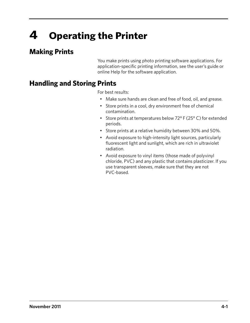# <span id="page-30-0"></span>**4 Operating the Printer**

# <span id="page-30-1"></span>**Making Prints**

You make prints using photo printing software applications. For application-specific printing information, see the user's guide or online Help for the software application.

# <span id="page-30-2"></span>**Handling and Storing Prints**

For best results:

- Make sure hands are clean and free of food, oil, and grease.
- Store prints in a cool, dry environment free of chemical contamination.
- Store prints at temperatures below 72° F (25° C) for extended periods.
- Store prints at a relative humidity between 30% and 50%.
- Avoid exposure to high-intensity light sources, particularly fluorescent light and sunlight, which are rich in ultraviolet radiation.
- Avoid exposure to vinyl items (those made of polyvinyl chloride, PVC) and any plastic that contains plasticizer. If you use transparent sleeves, make sure that they are not PVC-based.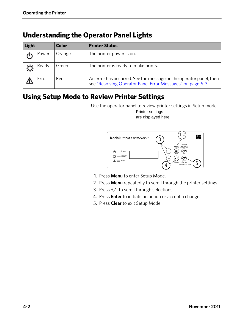## <span id="page-31-0"></span>**Understanding the Operator Panel Lights**

| Light |       | <b>Color</b> | <b>Printer Status</b>                                                                                                            |
|-------|-------|--------------|----------------------------------------------------------------------------------------------------------------------------------|
|       | Power | Orange       | The printer power is on.                                                                                                         |
|       | Ready | Green        | The printer is ready to make prints.                                                                                             |
|       | Error | Red          | An error has occurred. See the message on the operator panel, then<br>see "Resolving Operator Panel Error Messages" on page 6-3. |

## <span id="page-31-1"></span>**Using Setup Mode to Review Printer Settings**

Use the operator panel to review printer settings in Setup mode.



- 1. Press **Menu** to enter Setup Mode.
- 2. Press **Menu** repeatedly to scroll through the printer settings.
- 3. Press +/- to scroll through selections.
- 4. Press **Enter** to initiate an action or accept a change.
- 5. Press **Clear** to exit Setup Mode.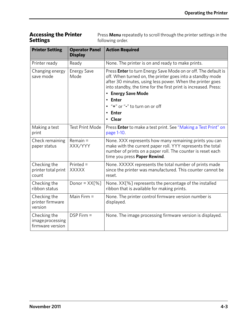#### <span id="page-32-0"></span>**Accessing the Printer Settings**

Press **Menu** repeatedly to scroll through the printer settings in the following order.

| <b>Printer Setting</b>                               | <b>Operator Panel</b><br><b>Display</b> | <b>Action Required</b>                                                                                                                                                                                                                                                                                                                                  |
|------------------------------------------------------|-----------------------------------------|---------------------------------------------------------------------------------------------------------------------------------------------------------------------------------------------------------------------------------------------------------------------------------------------------------------------------------------------------------|
| Printer ready                                        | Ready                                   | None. The printer is on and ready to make prints.                                                                                                                                                                                                                                                                                                       |
| Changing energy<br>save mode                         | <b>Energy Save</b><br>Mode              | Press Enter to turn Energy Save Mode on or off. The default is<br>off. When turned on, the printer goes into a standby mode<br>after 30 minutes, using less power. When the printer goes<br>into standby, the time for the first print is increased. Press:<br>• Energy Save Mode<br><b>Enter</b><br>"+" or "-" to turn on or off<br>• Enter<br>• Clear |
| Making a test<br>print                               | <b>Test Print Mode</b>                  | Press Enter to make a test print. See "Making a Test Print" on<br>page 1-10.                                                                                                                                                                                                                                                                            |
| Check remaining<br>paper status                      | $Remain =$<br>XXX/YYY                   | None. XXX represents how many remaining prints you can<br>make with the current paper roll. YYY represents the total<br>number of prints on a paper roll. The counter is reset each<br>time you press Paper Rewind.                                                                                                                                     |
| Checking the<br>printer total print<br>count         | $Printed =$<br><b>XXXXX</b>             | None. XXXXX represents the total number of prints made<br>since the printer was manufactured. This counter cannot be<br>reset.                                                                                                                                                                                                                          |
| Checking the<br>ribbon status                        | Donor = $XX[%]$                         | None. XX[%] represents the percentage of the installed<br>ribbon that is available for making prints.                                                                                                                                                                                                                                                   |
| Checking the<br>printer firmware<br>version          | Main Firm $=$                           | None. The printer control firmware version number is<br>displayed.                                                                                                                                                                                                                                                                                      |
| Checking the<br>image processing<br>firmware version | $DSP$ Firm $=$                          | None. The image processing firmware version is displayed.                                                                                                                                                                                                                                                                                               |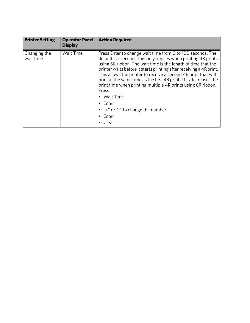| <b>Printer Setting</b>    | <b>Operator Panel</b><br><b>Display</b> | <b>Action Required</b>                                                                                                                                                                                                                                                                                                                                                                                                                                                                                                                                                              |
|---------------------------|-----------------------------------------|-------------------------------------------------------------------------------------------------------------------------------------------------------------------------------------------------------------------------------------------------------------------------------------------------------------------------------------------------------------------------------------------------------------------------------------------------------------------------------------------------------------------------------------------------------------------------------------|
| Changing the<br>wait time | Wait Time                               | Press Enter to change wait time from 0 to 100 seconds. The<br>default is 1 second. This only applies when printing 4R prints<br>using 6R ribbon. The wait time is the length of time that the<br>printer waits before it starts printing after receiving a 4R print.<br>This allows the printer to receive a second 4R print that will<br>print at the same time as the first 4R print. This decreases the<br>print time when printing multiple 4R prints using 6R ribbon.<br>Press:<br>• Wait Time<br>$\cdot$ Enter<br>$\bullet$ "+" or "-" to change the number<br>Enter<br>Clear |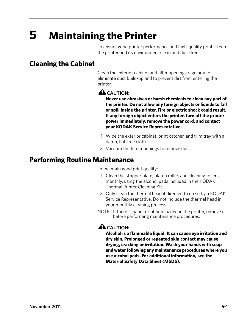# <span id="page-34-0"></span>**5 Maintaining the Printer**

To ensure good printer performance and high-quality prints, keep the printer and its environment clean and dust-free.

## <span id="page-34-1"></span>**Cleaning the Cabinet**

Clean the exterior cabinet and filter openings regularly to eliminate dust build-up and to prevent dirt from entering the printer.

#### **A** CAUTION:

**Never use abrasives or harsh chemicals to clean any part of the printer. Do not allow any foreign objects or liquids to fall or spill inside the printer. Fire or electric shock could result. If any foreign object enters the printer, turn off the printer power immediately, remove the power cord, and contact your KODAK Service Representative.**

- 1. Wipe the exterior cabinet, print catcher, and trim tray with a damp, lint-free cloth.
- 2. Vacuum the filter openings to remove dust.

## <span id="page-34-2"></span>**Performing Routine Maintenance**

To maintain good print quality:

- 1. Clean the stripper plate, platen roller, and cleaning rollers monthly, using the alcohol pads included in the KODAK Thermal Printer Cleaning Kit.
- 2. Only clean the thermal head if directed to do so by a KODAK Service Representative. Do not include the thermal head in your monthly cleaning process.
- NOTE: If there is paper or ribbon loaded in the printer, remove it before performing maintenance procedures.

### **A** CAUTION:

**Alcohol is a flammable liquid. It can cause eye irritation and dry skin. Prolonged or repeated skin contact may cause drying, cracking or irritation. Wash your hands with soap and water following any maintenance procedures where you use alcohol pads. For additional information, see the Material Safety Data Sheet (MSDS).**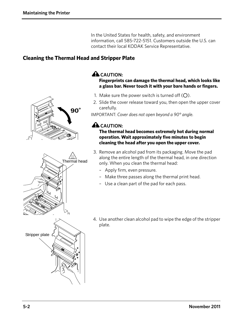In the United States for health, safety, and environment information, call 585-722-5151. Customers outside the U.S. can contact their local KODAK Service Representative.

#### <span id="page-35-0"></span>**Cleaning the Thermal Head and Stripper Plate**





### **A** CAUTION:

#### **Fingerprints can damage the thermal head, which looks like a glass bar. Never touch it with your bare hands or fingers.**

- 1. Make sure the power switch is turned off  $(O)$ .
- 2. Slide the cover release toward you, then open the upper cover carefully.

IMPORTANT: *Cover does not open beyond a 90° angle.*

## **A**CAUTION:

**The thermal head becomes extremely hot during normal operation. Wait approximately five minutes to begin cleaning the head after you open the upper cover.**

- 3. Remove an alcohol pad from its packaging. Move the pad along the entire length of the thermal head, in one direction only. When you clean the thermal head:
	- Apply firm, even pressure.
	- Make three passes along the thermal print head.
	- Use a clean part of the pad for each pass.
- 4. Use another clean alcohol pad to wipe the edge of the stripper plate.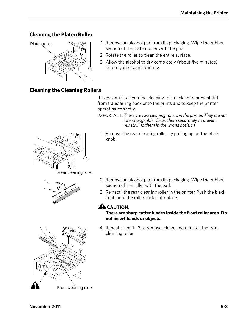### <span id="page-36-0"></span>**Cleaning the Platen Roller**



- 1. Remove an alcohol pad from its packaging. Wipe the rubber section of the platen roller with the pad.
- 2. Rotate the roller to clean the entire surface.
- 3. Allow the alcohol to dry completely (about five minutes) before you resume printing.

### <span id="page-36-1"></span>**Cleaning the Cleaning Rollers**

It is essential to keep the cleaning rollers clean to prevent dirt from transferring back onto the prints and to keep the printer operating correctly.

IMPORTANT: *There are two cleaning rollers in the printer. They are not interchangeable. Clean them separately to prevent reinstalling them in the wrong position.*

1. Remove the rear cleaning roller by pulling up on the black knob.



Rear cleaning roller



- 2. Remove an alcohol pad from its packaging. Wipe the rubber section of the roller with the pad.
- 3. Reinstall the rear cleaning roller in the printer. Push the black knob until the roller clicks into place.

## **A** CAUTION:

#### **There are sharp cutter blades inside the front roller area. Do not insert hands or objects.**

4. Repeat steps 1 - 3 to remove, clean, and reinstall the front cleaning roller.

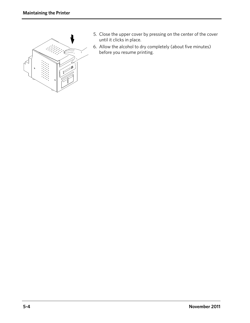

- 5. Close the upper cover by pressing on the center of the cover until it clicks in place.
- 6. Allow the alcohol to dry completely (about five minutes) before you resume printing.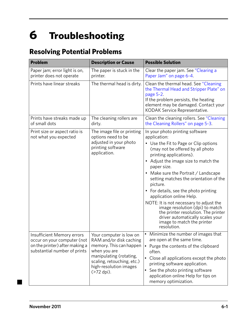# <span id="page-38-0"></span>**6 Troubleshooting**

# <span id="page-38-1"></span>**Resolving Potential Problems**

| <b>Problem</b>                                                                                                              | <b>Description or Cause</b>                                                                                                                                                                    | <b>Possible Solution</b>                                                                                                                                                                                                                                                                                                                                                                                                                                                                                                                                                              |
|-----------------------------------------------------------------------------------------------------------------------------|------------------------------------------------------------------------------------------------------------------------------------------------------------------------------------------------|---------------------------------------------------------------------------------------------------------------------------------------------------------------------------------------------------------------------------------------------------------------------------------------------------------------------------------------------------------------------------------------------------------------------------------------------------------------------------------------------------------------------------------------------------------------------------------------|
| Paper jam; error light is on,<br>printer does not operate                                                                   | The paper is stuck in the<br>printer.                                                                                                                                                          | Clear the paper jam. See "Clearing a<br>Paper Jam" on page 6-4                                                                                                                                                                                                                                                                                                                                                                                                                                                                                                                        |
| Prints have linear streaks                                                                                                  | The thermal head is dirty.                                                                                                                                                                     | Clean the thermal head. See "Cleaning<br>the Thermal Head and Stripper Plate" on<br>page 5-2.<br>If the problem persists, the heating<br>element may be damaged. Contact your<br>KODAK Service Representative.                                                                                                                                                                                                                                                                                                                                                                        |
| Prints have streaks made up<br>of small dots                                                                                | The cleaning rollers are<br>dirty.                                                                                                                                                             | Clean the cleaning rollers. See "Cleaning<br>the Cleaning Rollers" on page 5-3.                                                                                                                                                                                                                                                                                                                                                                                                                                                                                                       |
| Print size or aspect ratio is<br>not what you expected                                                                      | The image file or printing<br>options need to be<br>adjusted in your photo<br>printing software<br>application.                                                                                | In your photo printing software<br>application:<br>• Use the Fit to Page or Clip options<br>(may not be offered by all photo<br>printing applications).<br>• Adjust the image size to match the<br>paper size.<br>Make sure the Portrait / Landscape<br>setting matches the orientation of the<br>picture.<br>• For details, see the photo printing<br>application online Help.<br>NOTE: It is not necessary to adjust the<br>image resolution (dpi) to match<br>the printer resolution. The printer<br>driver automatically scales your<br>image to match the printer<br>resolution. |
| Insufficient Memory errors<br>occur on your computer (not<br>on the printer) after making a<br>substantial number of prints | Your computer is low on<br>RAM and/or disk caching<br>memory. This can happen<br>when you are<br>manipulating (rotating,<br>scaling, retouching, etc.)<br>high-resolution images<br>(>72 dpi). | Minimize the number of images that<br>are open at the same time.<br>• Purge the contents of the clipboard<br>often.<br>• Close all applications except the photo<br>printing software application.<br>See the photo printing software<br>$\bullet$<br>application online Help for tips on<br>memory optimization.                                                                                                                                                                                                                                                                     |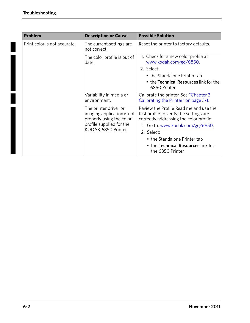| <b>Problem</b>               | <b>Description or Cause</b>                                                                                                        | <b>Possible Solution</b>                                                                                                     |
|------------------------------|------------------------------------------------------------------------------------------------------------------------------------|------------------------------------------------------------------------------------------------------------------------------|
| Print color is not accurate. | The current settings are<br>not correct.                                                                                           | Reset the printer to factory defaults.                                                                                       |
|                              | The color profile is out of<br>date.                                                                                               | 1. Check for a new color profile at<br>www.kodak.com/go/6850.                                                                |
|                              |                                                                                                                                    | 2. Select:                                                                                                                   |
|                              |                                                                                                                                    | • the Standalone Printer tab                                                                                                 |
|                              |                                                                                                                                    | • the Technical Resources link for the<br>6850 Printer                                                                       |
|                              | Variability in media or<br>environment.                                                                                            | Calibrate the printer. See "Chapter 3<br>Calibrating the Printer" on page 3-1.                                               |
|                              | The printer driver or<br>imaging application is not<br>properly using the color<br>profile supplied for the<br>KODAK 6850 Printer. | Review the Profile Read me and use the<br>test profile to verify the settings are<br>correctly addressing the color profile. |
|                              |                                                                                                                                    | 1. Go to: www.kodak.com/go/6850.                                                                                             |
|                              |                                                                                                                                    | 2. Select:                                                                                                                   |
|                              |                                                                                                                                    | • the Standalone Printer tab                                                                                                 |
|                              |                                                                                                                                    | . the Technical Resources link for<br>the 6850 Printer                                                                       |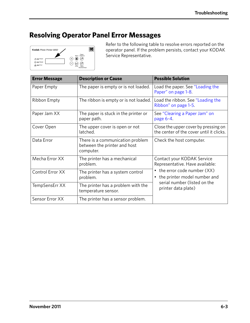# <span id="page-40-0"></span>**Resolving Operator Panel Error Messages**



Refer to the following table to resolve errors reported on the operator panel. If the problem persists, contact your KODAK Service Representative.

| <b>Error Message</b> | <b>Description or Cause</b>                                                   | <b>Possible Solution</b>                                                         |
|----------------------|-------------------------------------------------------------------------------|----------------------------------------------------------------------------------|
| Paper Empty          | The paper is empty or is not loaded.                                          | Load the paper. See "Loading the<br>Paper" on page 1-8.                          |
| Ribbon Empty         | The ribbon is empty or is not loaded.                                         | Load the ribbon. See "Loading the<br>Ribbon" on page 1-5.                        |
| Paper Jam XX         | The paper is stuck in the printer or<br>paper path.                           | See "Clearing a Paper Jam" on<br>page $6-4$ .                                    |
| Cover Open           | The upper cover is open or not<br>latched.                                    | Close the upper cover by pressing on<br>the center of the cover until it clicks. |
| Data Error           | There is a communication problem<br>between the printer and host<br>computer. | Check the host computer.                                                         |
| Mecha Error XX       | The printer has a mechanical<br>problem.                                      | Contact your KODAK Service<br>Representative. Have available:                    |
| Control Error XX     | The printer has a system control<br>problem.                                  | • the error code number (XX)<br>• the printer model number and                   |
| TempSensErr XX       | The printer has a problem with the<br>temperature sensor.                     | serial number (listed on the<br>printer data plate)                              |
| Sensor Error XX      | The printer has a sensor problem.                                             |                                                                                  |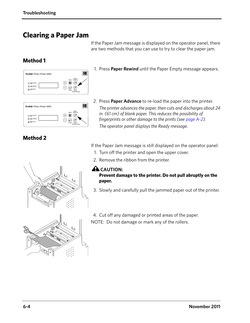## <span id="page-41-3"></span><span id="page-41-0"></span>**Clearing a Paper Jam**

### <span id="page-41-1"></span>**Method 1**



Rewind/Clear  $\Theta$ e

1. Press **Paper Rewind** until the Paper Empty message appears.

If the Paper Jam message is displayed on the operator panel, there are two methods that you can use to try to clear the paper jam.

2. Press **Paper Advance** to re-load the paper into the printer. *The printer advances the paper, then cuts and discharges about 24 in. (61 cm) of blank paper. This reduces the possibility of fingerprints or other damage to the prints (see [page A-2\)](#page-45-1). The operator panel displays the Ready message.*

#### <span id="page-41-2"></span>**Method 2**

 $\triangle \square$  Erro

If the Paper Jam message is still displayed on the operator panel:

- 1. Turn off the printer and open the upper cover.
- 2. Remove the ribbon from the printer.

### **A**CAUTION:

#### **Prevent damage to the printer. Do not pull abruptly on the paper.**

- 3. Slowly and carefully pull the jammed paper out of the printer.
- 4. Cut off any damaged or printed areas of the paper. NOTE: Do not damage or mark any of the rollers.

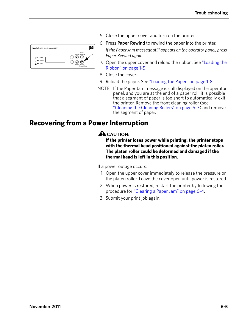| Kodak Photo Printer 6850                                        |                                                                                |
|-----------------------------------------------------------------|--------------------------------------------------------------------------------|
| $\equiv$ Power<br>ረካ ር<br>$\bullet$ $\bullet$ Ready<br>$F$ rror | Paper<br>Menu Advance<br>眉<br>$\overline{a}$<br>Enter<br>Paper<br>Rewind/Clear |

- 5. Close the upper cover and turn on the printer.
- 6. Press **Paper Rewind** to rewind the paper into the printer.

*If the Paper Jam message still appears on the operator panel, press Paper Rewind again.*

- 7. Open the upper cover and reload the ribbon. See ["Loading the](#page-16-0)  [Ribbon" on page 1-5](#page-16-0).
- 8. Close the cover.
- 9. Reload the paper. See ["Loading the Paper" on page 1-8.](#page-19-2)
- NOTE: If the Paper Jam message is still displayed on the operator panel, and you are at the end of a paper roll, it is possible that a segment of paper is too short to automatically exit the printer. Remove the front cleaning roller (see ["Cleaning the Cleaning Rollers" on page 5-3\)](#page-36-1) and remove the segment of paper.

### <span id="page-42-0"></span>**Recovering from a Power Interruption**

#### **A** CAUTION:

**If the printer loses power while printing, the printer stops with the thermal head positioned against the platen roller. The platen roller could be deformed and damaged if the thermal head is left in this position.** 

If a power outage occurs:

- 1. Open the upper cover immediately to release the pressure on the platen roller. Leave the cover open until power is restored.
- 2. When power is restored, restart the printer by following the procedure for ["Clearing a Paper Jam" on page 6-4.](#page-41-3)
- 3. Submit your print job again.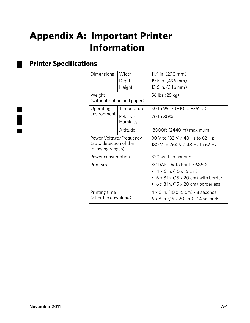# **Appendix A: Important Printer Information**

# <span id="page-44-1"></span>**Printer Specifications**

<span id="page-44-0"></span>

| <b>Dimensions</b>                                                      | Width                      | 11.4 in. (290 mm)                                 |
|------------------------------------------------------------------------|----------------------------|---------------------------------------------------|
|                                                                        | Depth                      | 19.6 in. (496 mm)                                 |
|                                                                        | Height                     | 13.6 in. (346 mm)                                 |
| Weight                                                                 | (without ribbon and paper) | 56 lbs (25 kg)                                    |
| Operating<br>environment                                               | Temperature                | 50 to 95° F (+10 to +35° C)                       |
|                                                                        | Relative<br>Humidity       | 20 to 80%                                         |
|                                                                        | Altitude                   | 8000ft (2440 m) maximum                           |
| Power Voltage/Frequency<br>(auto detection of the<br>following ranges) |                            | 90 V to 132 V / 48 Hz to 62 Hz                    |
|                                                                        |                            | 180 V to 264 V / 48 Hz to 62 Hz                   |
| Power consumption                                                      |                            | 320 watts maximum                                 |
| Print size                                                             |                            | KODAK Photo Printer 6850:                         |
|                                                                        |                            | $4 \times 6$ in. (10 $\times$ 15 cm)              |
|                                                                        |                            | $6 \times 8$ in. (15 $\times$ 20 cm) with border  |
|                                                                        |                            | $6 \times 8$ in. (15 $\times$ 20 cm) borderless   |
| Printing time<br>(after file download)                                 |                            | $4 \times 6$ in. (10 $\times$ 15 cm) - 8 seconds  |
|                                                                        |                            | $6 \times 8$ in. (15 $\times$ 20 cm) - 14 seconds |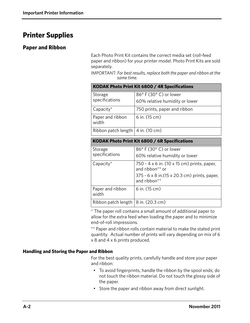## <span id="page-45-0"></span>**Printer Supplies**

#### <span id="page-45-1"></span>**Paper and Ribbon**

Each Photo Print Kit contains the correct media set (roll-feed paper and ribbon) for your printer model. Photo Print Kits are sold separately.

IMPORTANT: *For best results, replace both the paper and ribbon at the same time.*

| KODAK Photo Print Kit 6800 / 4R Specifications |                                                        |  |
|------------------------------------------------|--------------------------------------------------------|--|
| Storage<br>specifications                      | 86°F (30°C) or lower<br>60% relative humidity or lower |  |
| Capacity $*$                                   | 750 prints, paper and ribbon                           |  |
| Paper and ribbon<br>width                      | 6 in. (15 cm)                                          |  |
| Ribbon patch length $4$ in. (10 cm)            |                                                        |  |

| KODAK Photo Print Kit 6800 / 6R Specifications |                                                                                                                                 |
|------------------------------------------------|---------------------------------------------------------------------------------------------------------------------------------|
| Storage<br>specifications                      | 86° F (30° C) or lower<br>60% relative humidity or lower                                                                        |
| Capacity $*$                                   | 750 - 4 x 6 in. (10 x 15 cm) prints, paper,<br>and ribbon** or<br>375 - 6 x 8 in. (15 x 20.3 cm) prints, paper,<br>and ribbon** |
| Paper and ribbon<br>width                      | 6 in. (15 cm)                                                                                                                   |
| Ribbon patch length $ 8$ in. (20.3 cm)         |                                                                                                                                 |

\* The paper roll contains a small amount of additional paper to allow for the extra feed when loading the paper and to minimize end-of-roll impressions.

\*\* Paper and ribbon rolls contain material to make the stated print quantity. Actual number of prints will vary depending on mix of 6 x 8 and 4 x 6 prints produced.

#### <span id="page-45-2"></span>**Handling and Storing the Paper and Ribbon**

For the best quality prints, carefully handle and store your paper and ribbon:

- To avoid fingerprints, handle the ribbon by the spool ends; do not touch the ribbon material. Do not touch the glossy side of the paper.
- Store the paper and ribbon away from direct sunlight.